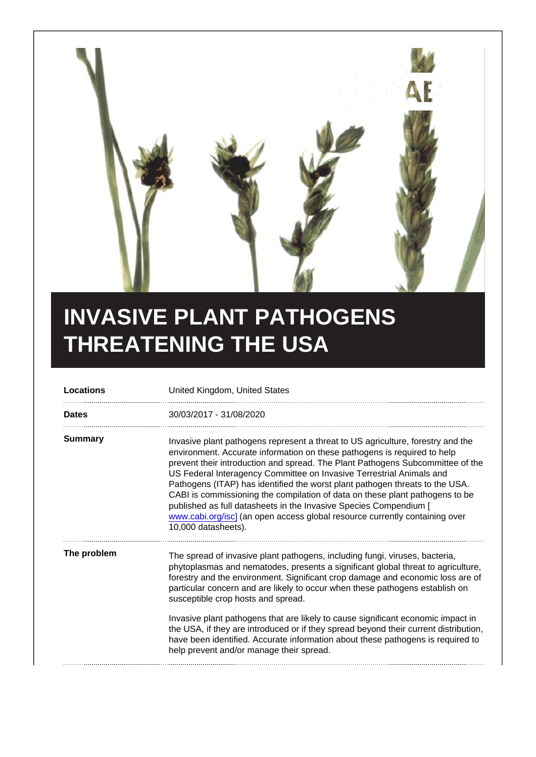## INVASIVE PLANT PATHOGENS THREATENING THE USA

| Locations   | United Kingdom, United States                                                                                                                                                                                                                                                                                                                                                                                                                                                                                                                                                                                                                                    |
|-------------|------------------------------------------------------------------------------------------------------------------------------------------------------------------------------------------------------------------------------------------------------------------------------------------------------------------------------------------------------------------------------------------------------------------------------------------------------------------------------------------------------------------------------------------------------------------------------------------------------------------------------------------------------------------|
| Dates       | 30/03/2017 - 31/08/2020                                                                                                                                                                                                                                                                                                                                                                                                                                                                                                                                                                                                                                          |
| Summary     | Invasive plant pathogens represent a threat to US agriculture, forestry and the<br>environment. Accurate information on these pathogens is required to help<br>prevent their introduction and spread. The Plant Pathogens Subcommittee of the<br>US Federal Interagency Committee on Invasive Terrestrial Animals and<br>Pathogens (ITAP) has identified the worst plant pathogen threats to the USA.<br>CABI is commissioning the compilation of data on these plant pathogens to be<br>published as full datasheets in the Invasive Species Compendium [<br>www.cabi.org/isc] (an open access global resource currently containing over<br>10,000 datasheets). |
| The problem | The spread of invasive plant pathogens, including fungi, viruses, bacteria,<br>phytoplasmas and nematodes, presents a significant global threat to agriculture,<br>forestry and the environment. Significant crop damage and economic loss are of<br>particular concern and are likely to occur when these pathogens establish on<br>susceptible crop hosts and spread.<br>Invasive plant pathogens that are likely to cause significant economic impact in                                                                                                                                                                                                      |
|             | the USA, if they are introduced or if they spread beyond their current distribution,<br>have been identified. Accurate information about these pathogens is required to<br>help prevent and/or manage their spread.                                                                                                                                                                                                                                                                                                                                                                                                                                              |